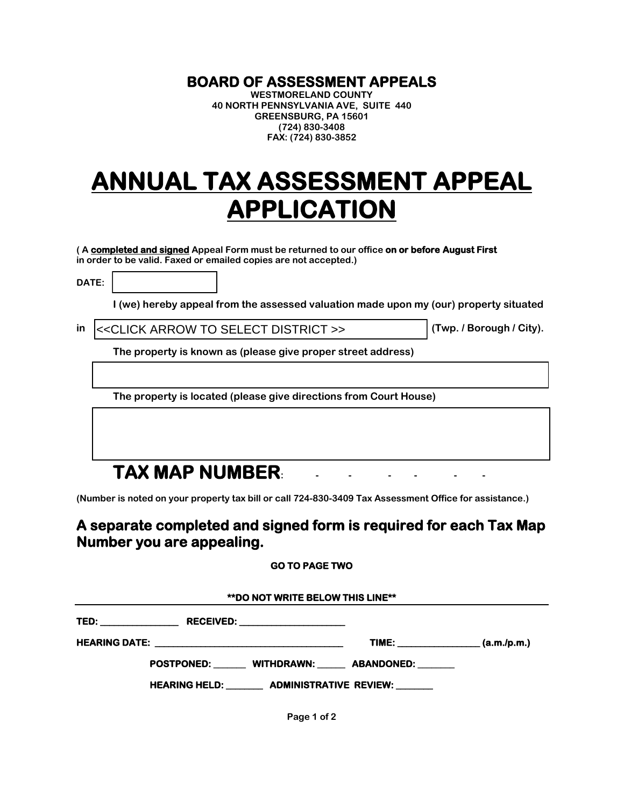## **BOARD OF ASSESSMENT APPEALS WESTMORELAND COUNTY**

**40 NORTH PENNSYLVANIA AVE, SUITE 440 GREENSBURG, PA 15601 (724) 830-3408 FAX: (724) 830-3852**

# **ANNUAL TAX ASSESSMENT APPEAL APPLICATION**

**( A completed and signed Appeal Form must be returned to our office on or before August First in order to be valid. Faxed or emailed copies are not accepted.)**

**DATE:** 

**I (we) hereby appeal from the assessed valuation made upon my (our) property situated** 

**in (Twp. / Borough / City).** <<CLICK ARROW TO SELECT DISTRICT >>

**The property is known as (please give proper street address)** 

**The property is located (please give directions from Court House)** 

## **TAX MAP NUMBER:**

**(Number is noted on your property tax bill or call 724-830-3409 Tax Assessment Office for assistance.)** 

### **A separate completed and signed form is required for each Tax Map Number you are appealing.**

#### **GO TO PAGE TWO**

| <b>**DO NOT WRITE BELOW THIS LINE**</b>                |                     |  |
|--------------------------------------------------------|---------------------|--|
|                                                        |                     |  |
|                                                        | TIME: $(a.m./p.m.)$ |  |
| POSTPONED: WITHDRAWN: ABANDONED:                       |                     |  |
| HEARING HELD: _________ ADMINISTRATIVE REVIEW: _______ |                     |  |

**Page 1 of 2**